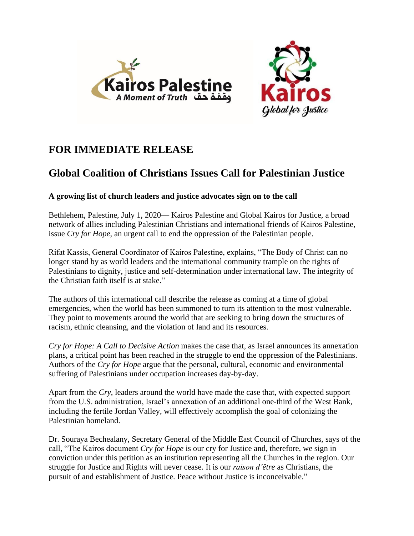



## **FOR IMMEDIATE RELEASE**

## **Global Coalition of Christians Issues Call for Palestinian Justice**

## **A growing list of church leaders and justice advocates sign on to the call**

Bethlehem, Palestine, July 1, 2020— Kairos Palestine and Global Kairos for Justice, a broad network of allies including Palestinian Christians and international friends of Kairos Palestine, issue *Cry for Hope*, an urgent call to end the oppression of the Palestinian people.

Rifat Kassis, General Coordinator of Kairos Palestine, explains, "The Body of Christ can no longer stand by as world leaders and the international community trample on the rights of Palestinians to dignity, justice and self-determination under international law. The integrity of the Christian faith itself is at stake."

The authors of this international call describe the release as coming at a time of global emergencies, when the world has been summoned to turn its attention to the most vulnerable. They point to movements around the world that are seeking to bring down the structures of racism, ethnic cleansing, and the violation of land and its resources.

*Cry for Hope: A Call to Decisive Action* makes the case that, as Israel announces its annexation plans, a critical point has been reached in the struggle to end the oppression of the Palestinians. Authors of the *Cry for Hope* argue that the personal, cultural, economic and environmental suffering of Palestinians under occupation increases day-by-day.

Apart from the *Cry*, leaders around the world have made the case that, with expected support from the U.S. administration, Israel's annexation of an additional one-third of the West Bank, including the fertile Jordan Valley, will effectively accomplish the goal of colonizing the Palestinian homeland.

Dr. Souraya Bechealany, Secretary General of the Middle East Council of Churches, says of the call, "The Kairos document *Cry for Hope* is our cry for Justice and, therefore, we sign in conviction under this petition as an institution representing all the Churches in the region. Our struggle for Justice and Rights will never cease. It is our *raison d'être* as Christians, the pursuit of and establishment of Justice. Peace without Justice is inconceivable."